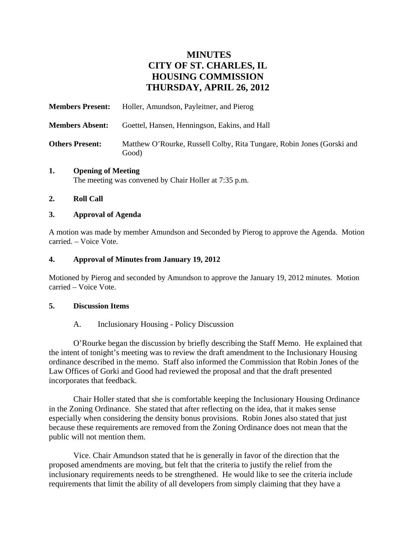# **MINUTES CITY OF ST. CHARLES, IL HOUSING COMMISSION THURSDAY, APRIL 26, 2012**

| <b>Members Present:</b> | Holler, Amundson, Payleitner, and Pierog                                        |
|-------------------------|---------------------------------------------------------------------------------|
| <b>Members Absent:</b>  | Goettel, Hansen, Henningson, Eakins, and Hall                                   |
| <b>Others Present:</b>  | Matthew O'Rourke, Russell Colby, Rita Tungare, Robin Jones (Gorski and<br>Good) |

#### **1. Opening of Meeting**  The meeting was convened by Chair Holler at 7:35 p.m.

## **2. Roll Call**

## **3. Approval of Agenda**

A motion was made by member Amundson and Seconded by Pierog to approve the Agenda. Motion carried. – Voice Vote.

## **4. Approval of Minutes from January 19, 2012**

Motioned by Pierog and seconded by Amundson to approve the January 19, 2012 minutes. Motion carried – Voice Vote.

#### **5. Discussion Items**

# A. Inclusionary Housing - Policy Discussion

O'Rourke began the discussion by briefly describing the Staff Memo. He explained that the intent of tonight's meeting was to review the draft amendment to the Inclusionary Housing ordinance described in the memo. Staff also informed the Commission that Robin Jones of the Law Offices of Gorki and Good had reviewed the proposal and that the draft presented incorporates that feedback.

Chair Holler stated that she is comfortable keeping the Inclusionary Housing Ordinance in the Zoning Ordinance. She stated that after reflecting on the idea, that it makes sense especially when considering the density bonus provisions. Robin Jones also stated that just because these requirements are removed from the Zoning Ordinance does not mean that the public will not mention them.

Vice. Chair Amundson stated that he is generally in favor of the direction that the proposed amendments are moving, but felt that the criteria to justify the relief from the inclusionary requirements needs to be strengthened. He would like to see the criteria include requirements that limit the ability of all developers from simply claiming that they have a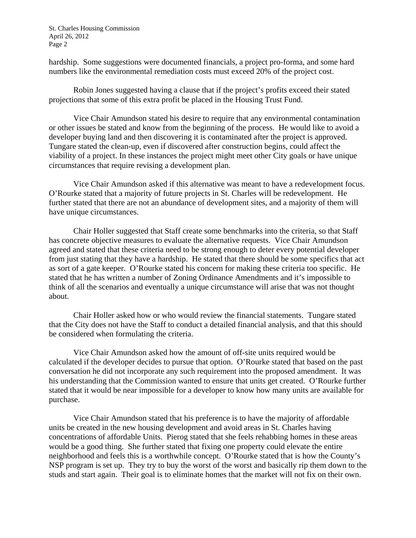St. Charles Housing Commission April 26, 2012 Page 2

hardship. Some suggestions were documented financials, a project pro-forma, and some hard numbers like the environmental remediation costs must exceed 20% of the project cost.

Robin Jones suggested having a clause that if the project's profits exceed their stated projections that some of this extra profit be placed in the Housing Trust Fund.

Vice Chair Amundson stated his desire to require that any environmental contamination or other issues be stated and know from the beginning of the process. He would like to avoid a developer buying land and then discovering it is contaminated after the project is approved. Tungare stated the clean-up, even if discovered after construction begins, could affect the viability of a project. In these instances the project might meet other City goals or have unique circumstances that require revising a development plan.

Vice Chair Amundson asked if this alternative was meant to have a redevelopment focus. O'Rourke stated that a majority of future projects in St. Charles will be redevelopment. He further stated that there are not an abundance of development sites, and a majority of them will have unique circumstances.

Chair Holler suggested that Staff create some benchmarks into the criteria, so that Staff has concrete objective measures to evaluate the alternative requests. Vice Chair Amundson agreed and stated that these criteria need to be strong enough to deter every potential developer from just stating that they have a hardship. He stated that there should be some specifics that act as sort of a gate keeper. O'Rourke stated his concern for making these criteria too specific. He stated that he has written a number of Zoning Ordinance Amendments and it's impossible to think of all the scenarios and eventually a unique circumstance will arise that was not thought about.

Chair Holler asked how or who would review the financial statements. Tungare stated that the City does not have the Staff to conduct a detailed financial analysis, and that this should be considered when formulating the criteria.

Vice Chair Amundson asked how the amount of off-site units required would be calculated if the developer decides to pursue that option. O'Rourke stated that based on the past conversation he did not incorporate any such requirement into the proposed amendment. It was his understanding that the Commission wanted to ensure that units get created. O'Rourke further stated that it would be near impossible for a developer to know how many units are available for purchase.

Vice Chair Amundson stated that his preference is to have the majority of affordable units be created in the new housing development and avoid areas in St. Charles having concentrations of affordable Units. Pierog stated that she feels rehabbing homes in these areas would be a good thing. She further stated that fixing one property could elevate the entire neighborhood and feels this is a worthwhile concept. O'Rourke stated that is how the County's NSP program is set up. They try to buy the worst of the worst and basically rip them down to the studs and start again. Their goal is to eliminate homes that the market will not fix on their own.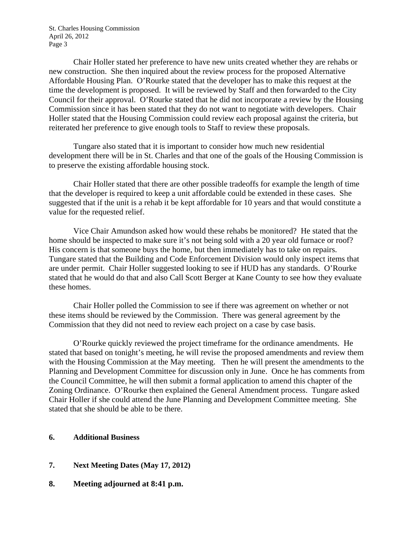St. Charles Housing Commission April 26, 2012 Page 3

Chair Holler stated her preference to have new units created whether they are rehabs or new construction. She then inquired about the review process for the proposed Alternative Affordable Housing Plan. O'Rourke stated that the developer has to make this request at the time the development is proposed. It will be reviewed by Staff and then forwarded to the City Council for their approval. O'Rourke stated that he did not incorporate a review by the Housing Commission since it has been stated that they do not want to negotiate with developers. Chair Holler stated that the Housing Commission could review each proposal against the criteria, but reiterated her preference to give enough tools to Staff to review these proposals.

Tungare also stated that it is important to consider how much new residential development there will be in St. Charles and that one of the goals of the Housing Commission is to preserve the existing affordable housing stock.

Chair Holler stated that there are other possible tradeoffs for example the length of time that the developer is required to keep a unit affordable could be extended in these cases. She suggested that if the unit is a rehab it be kept affordable for 10 years and that would constitute a value for the requested relief.

Vice Chair Amundson asked how would these rehabs be monitored? He stated that the home should be inspected to make sure it's not being sold with a 20 year old furnace or roof? His concern is that someone buys the home, but then immediately has to take on repairs. Tungare stated that the Building and Code Enforcement Division would only inspect items that are under permit. Chair Holler suggested looking to see if HUD has any standards. O'Rourke stated that he would do that and also Call Scott Berger at Kane County to see how they evaluate these homes.

Chair Holler polled the Commission to see if there was agreement on whether or not these items should be reviewed by the Commission. There was general agreement by the Commission that they did not need to review each project on a case by case basis.

O'Rourke quickly reviewed the project timeframe for the ordinance amendments. He stated that based on tonight's meeting, he will revise the proposed amendments and review them with the Housing Commission at the May meeting. Then he will present the amendments to the Planning and Development Committee for discussion only in June. Once he has comments from the Council Committee, he will then submit a formal application to amend this chapter of the Zoning Ordinance. O'Rourke then explained the General Amendment process. Tungare asked Chair Holler if she could attend the June Planning and Development Committee meeting. She stated that she should be able to be there.

#### **6. Additional Business**

- **7. Next Meeting Dates (May 17, 2012)**
- **8. Meeting adjourned at 8:41 p.m.**